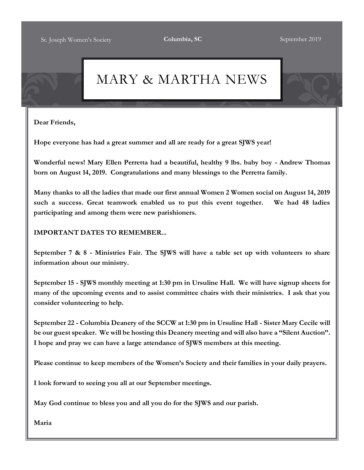# MARY & MARTHA NEWS

**Dear Friends,**

**Hope everyone has had a great summer and all are ready for a great SJWS year!**

**Wonderful news! Mary Ellen Perretta had a beautiful, healthy 9 lbs. baby boy - Andrew Thomas born on August 14, 2019. Congratulations and many blessings to the Perretta family.**

**Many thanks to all the ladies that made our first annual Women 2 Women social on August 14, 2019 such a success. Great teamwork enabled us to put this event together. We had 48 ladies participating and among them were new parishioners.**

#### **IMPORTANT DATES TO REMEMBER...**

**September 7 & 8 - Ministries Fair. The SJWS will have a table set up with volunteers to share information about our ministry.**

**September 15 - SJWS monthly meeting at 1:30 pm in Ursuline Hall. We will have signup sheets for many of the upcoming events and to assist committee chairs with their ministries. I ask that you consider volunteering to help.**

**September 22 - Columbia Deanery of the SCCW at 1:30 pm in Ursuline Hall - Sister Mary Cecile will be our guest speaker. We will be hosting this Deanery meeting and will also have a "Silent Auction". I hope and pray we can have a large attendance of SJWS members at this meeting.**

**Please continue to keep members of the Women's Society and their families in your daily prayers.**

**I look forward to seeing you all at our September meetings.**

**May God continue to bless you and all you do for the SJWS and our parish.**

**Maria**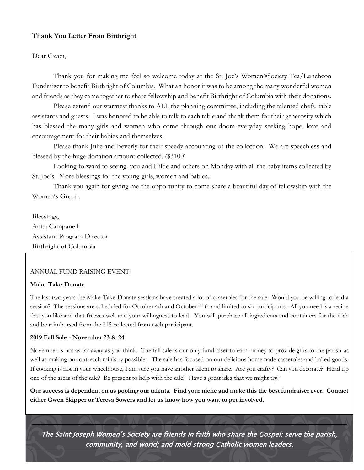### **Thank You Letter From Birthright**

Dear Gwen,

Thank you for making me feel so welcome today at the St. Joe's Women'sSociety Tea/Luncheon Fundraiser to benefit Birthright of Columbia. What an honor it was to be among the many wonderful women and friends as they came together to share fellowship and benefit Birthright of Columbia with their donations.

Please extend our warmest thanks to ALL the planning committee, including the talented chefs, table assistants and guests. I was honored to be able to talk to each table and thank them for their generosity which has blessed the many girls and women who come through our doors everyday seeking hope, love and encouragement for their babies and themselves.

Please thank Julie and Beverly for their speedy accounting of the collection. We are speechless and blessed by the huge donation amount collected. (\$3100)

Looking forward to seeing you and Hilde and others on Monday with all the baby items collected by St. Joe's. More blessings for the young girls, women and babies.

Thank you again for giving me the opportunity to come share a beautiful day of fellowship with the Women's Group.

Blessings, Anita Campanelli Assistant Program Director Birthright of Columbia

#### ANNUAL FUND RAISING EVENT!

#### **Make-Take-Donate**

The last two years the Make-Take-Donate sessions have created a lot of casseroles for the sale. Would you be willing to lead a session? The sessions are scheduled for October 4th and October 11th and limited to six participants. All you need is a recipe that you like and that freezes well and your willingness to lead. You will purchase all ingredients and containers for the dish and be reimbursed from the \$15 collected from each participant.

#### **2019 Fall Sale - November 23 & 24**

November is not as far away as you think. The fall sale is our only fundraiser to earn money to provide gifts to the parish as well as making our outreach ministry possible. The sale has focused on our delicious homemade casseroles and baked goods. If cooking is not in your wheelhouse, I am sure you have another talent to share. Are you crafty? Can you decorate? Head up one of the areas of the sale? Be present to help with the sale? Have a great idea that we might try?

**Our success is dependent on us pooling our talents. Find your niche and make this the best fundraiser ever. Contact either Gwen Skipper or Teresa Sowers and let us know how you want to get involved.** 

The Saint Joseph Women's Society are friends in faith who share the Gospel; serve the parish, community, and world; and mold strong Catholic women leaders.